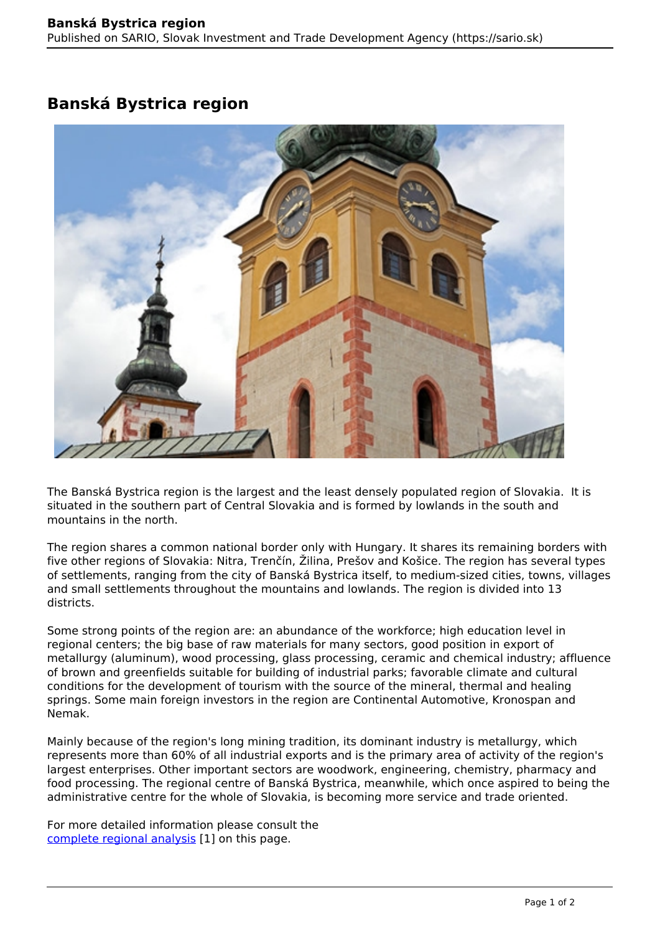## **Banská Bystrica region**



The Banská Bystrica region is the largest and the least densely populated region of Slovakia. It is situated in the southern part of Central Slovakia and is formed by lowlands in the south and mountains in the north.

The region shares a common national border only with Hungary. It shares its remaining borders with five other regions of Slovakia: Nitra, Trenčín, Žilina, Prešov and Košice. The region has several types of settlements, ranging from the city of Banská Bystrica itself, to medium-sized cities, towns, villages and small settlements throughout the mountains and lowlands. The region is divided into 13 districts.

Some strong points of the region are: an abundance of the workforce; high education level in regional centers; the big base of raw materials for many sectors, good position in export of metallurgy (aluminum), wood processing, glass processing, ceramic and chemical industry; affluence of brown and greenfields suitable for building of industrial parks; favorable climate and cultural conditions for the development of tourism with the source of the mineral, thermal and healing springs. Some main foreign investors in the region are Continental Automotive, Kronospan and Nemak.

Mainly because of the region's long mining tradition, its dominant industry is metallurgy, which represents more than 60% of all industrial exports and is the primary area of activity of the region's largest enterprises. Other important sectors are woodwork, engineering, chemistry, pharmacy and food processing. The regional centre of Banská Bystrica, meanwhile, which once aspired to being the administrative centre for the whole of Slovakia, is becoming more service and trade oriented.

For more detailed information please consult the [complete regional analysis](https://www.sario.sk/sites/default/files/content/files/Banska%20Bystrica%20Region.pdf) [1] on this page.